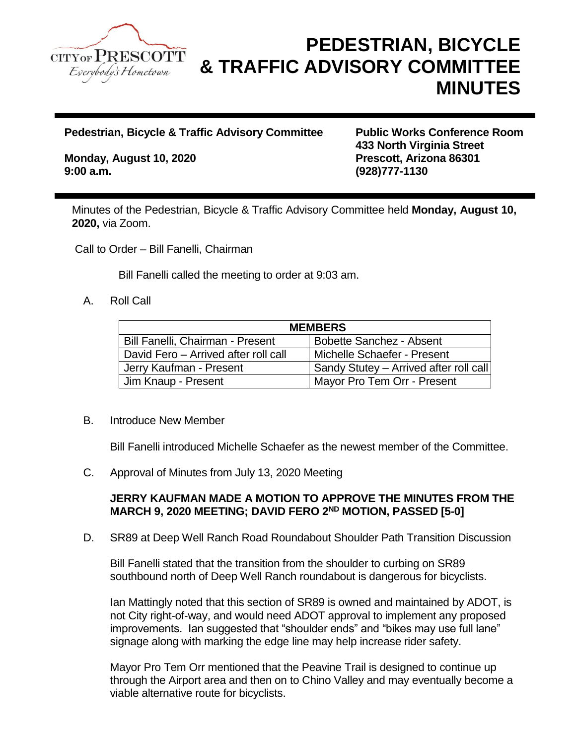

# **PEDESTRIAN, BICYCLE & TRAFFIC ADVISORY COMMITTEE MINUTES**

**Pedestrian, Bicycle & Traffic Advisory Committee Public Works Conference Room**

**Monday, August 10, 2020 Prescott, Arizona 86301 9:00 a.m. (928)777-1130**

**433 North Virginia Street**

Minutes of the Pedestrian, Bicycle & Traffic Advisory Committee held **Monday, August 10, 2020,** via Zoom.

Call to Order – Bill Fanelli, Chairman

Bill Fanelli called the meeting to order at 9:03 am.

### A. Roll Call

| <b>MEMBERS</b>                       |                                        |
|--------------------------------------|----------------------------------------|
| Bill Fanelli, Chairman - Present     | <b>Bobette Sanchez - Absent</b>        |
| David Fero - Arrived after roll call | Michelle Schaefer - Present            |
| Jerry Kaufman - Present              | Sandy Stutey – Arrived after roll call |
| Jim Knaup - Present                  | Mayor Pro Tem Orr - Present            |

#### B. Introduce New Member

Bill Fanelli introduced Michelle Schaefer as the newest member of the Committee.

C. Approval of Minutes from July 13, 2020 Meeting

# **JERRY KAUFMAN MADE A MOTION TO APPROVE THE MINUTES FROM THE MARCH 9, 2020 MEETING; DAVID FERO 2ND MOTION, PASSED [5-0]**

D. SR89 at Deep Well Ranch Road Roundabout Shoulder Path Transition Discussion

Bill Fanelli stated that the transition from the shoulder to curbing on SR89 southbound north of Deep Well Ranch roundabout is dangerous for bicyclists.

Ian Mattingly noted that this section of SR89 is owned and maintained by ADOT, is not City right-of-way, and would need ADOT approval to implement any proposed improvements. Ian suggested that "shoulder ends" and "bikes may use full lane" signage along with marking the edge line may help increase rider safety.

Mayor Pro Tem Orr mentioned that the Peavine Trail is designed to continue up through the Airport area and then on to Chino Valley and may eventually become a viable alternative route for bicyclists.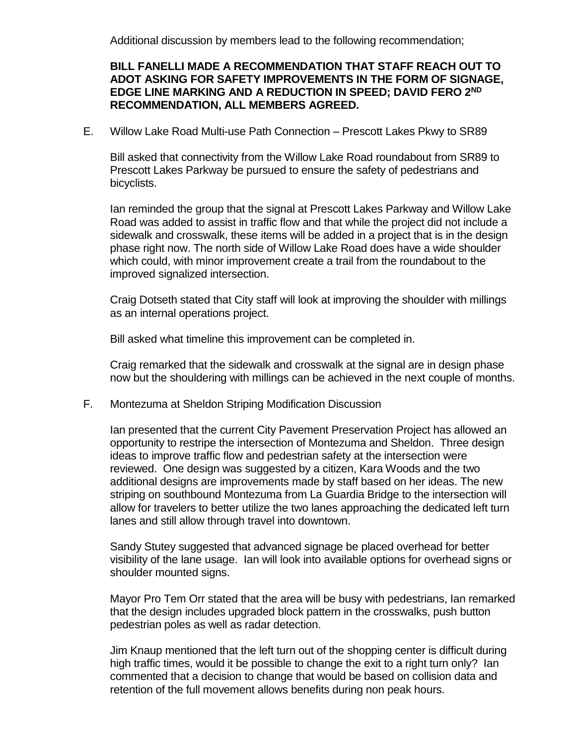Additional discussion by members lead to the following recommendation;

## **BILL FANELLI MADE A RECOMMENDATION THAT STAFF REACH OUT TO ADOT ASKING FOR SAFETY IMPROVEMENTS IN THE FORM OF SIGNAGE, EDGE LINE MARKING AND A REDUCTION IN SPEED; DAVID FERO 2ND RECOMMENDATION, ALL MEMBERS AGREED.**

E. Willow Lake Road Multi-use Path Connection – Prescott Lakes Pkwy to SR89

Bill asked that connectivity from the Willow Lake Road roundabout from SR89 to Prescott Lakes Parkway be pursued to ensure the safety of pedestrians and bicyclists.

Ian reminded the group that the signal at Prescott Lakes Parkway and Willow Lake Road was added to assist in traffic flow and that while the project did not include a sidewalk and crosswalk, these items will be added in a project that is in the design phase right now. The north side of Willow Lake Road does have a wide shoulder which could, with minor improvement create a trail from the roundabout to the improved signalized intersection.

Craig Dotseth stated that City staff will look at improving the shoulder with millings as an internal operations project.

Bill asked what timeline this improvement can be completed in.

Craig remarked that the sidewalk and crosswalk at the signal are in design phase now but the shouldering with millings can be achieved in the next couple of months.

F. Montezuma at Sheldon Striping Modification Discussion

Ian presented that the current City Pavement Preservation Project has allowed an opportunity to restripe the intersection of Montezuma and Sheldon. Three design ideas to improve traffic flow and pedestrian safety at the intersection were reviewed. One design was suggested by a citizen, Kara Woods and the two additional designs are improvements made by staff based on her ideas. The new striping on southbound Montezuma from La Guardia Bridge to the intersection will allow for travelers to better utilize the two lanes approaching the dedicated left turn lanes and still allow through travel into downtown.

Sandy Stutey suggested that advanced signage be placed overhead for better visibility of the lane usage. Ian will look into available options for overhead signs or shoulder mounted signs.

Mayor Pro Tem Orr stated that the area will be busy with pedestrians, Ian remarked that the design includes upgraded block pattern in the crosswalks, push button pedestrian poles as well as radar detection.

Jim Knaup mentioned that the left turn out of the shopping center is difficult during high traffic times, would it be possible to change the exit to a right turn only? Ian commented that a decision to change that would be based on collision data and retention of the full movement allows benefits during non peak hours.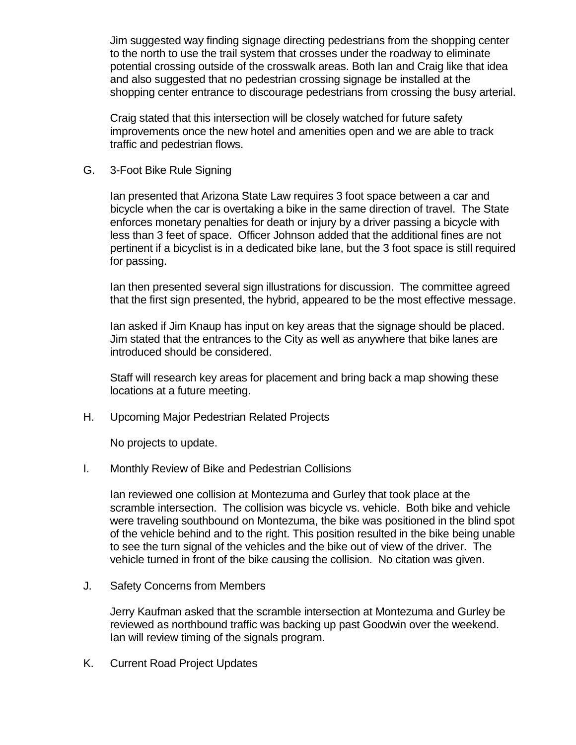Jim suggested way finding signage directing pedestrians from the shopping center to the north to use the trail system that crosses under the roadway to eliminate potential crossing outside of the crosswalk areas. Both Ian and Craig like that idea and also suggested that no pedestrian crossing signage be installed at the shopping center entrance to discourage pedestrians from crossing the busy arterial.

Craig stated that this intersection will be closely watched for future safety improvements once the new hotel and amenities open and we are able to track traffic and pedestrian flows.

G. 3-Foot Bike Rule Signing

Ian presented that Arizona State Law requires 3 foot space between a car and bicycle when the car is overtaking a bike in the same direction of travel. The State enforces monetary penalties for death or injury by a driver passing a bicycle with less than 3 feet of space. Officer Johnson added that the additional fines are not pertinent if a bicyclist is in a dedicated bike lane, but the 3 foot space is still required for passing.

Ian then presented several sign illustrations for discussion. The committee agreed that the first sign presented, the hybrid, appeared to be the most effective message.

Ian asked if Jim Knaup has input on key areas that the signage should be placed. Jim stated that the entrances to the City as well as anywhere that bike lanes are introduced should be considered.

Staff will research key areas for placement and bring back a map showing these locations at a future meeting.

H. Upcoming Major Pedestrian Related Projects

No projects to update.

I. Monthly Review of Bike and Pedestrian Collisions

Ian reviewed one collision at Montezuma and Gurley that took place at the scramble intersection. The collision was bicycle vs. vehicle. Both bike and vehicle were traveling southbound on Montezuma, the bike was positioned in the blind spot of the vehicle behind and to the right. This position resulted in the bike being unable to see the turn signal of the vehicles and the bike out of view of the driver. The vehicle turned in front of the bike causing the collision. No citation was given.

J. Safety Concerns from Members

Jerry Kaufman asked that the scramble intersection at Montezuma and Gurley be reviewed as northbound traffic was backing up past Goodwin over the weekend. Ian will review timing of the signals program.

K. Current Road Project Updates